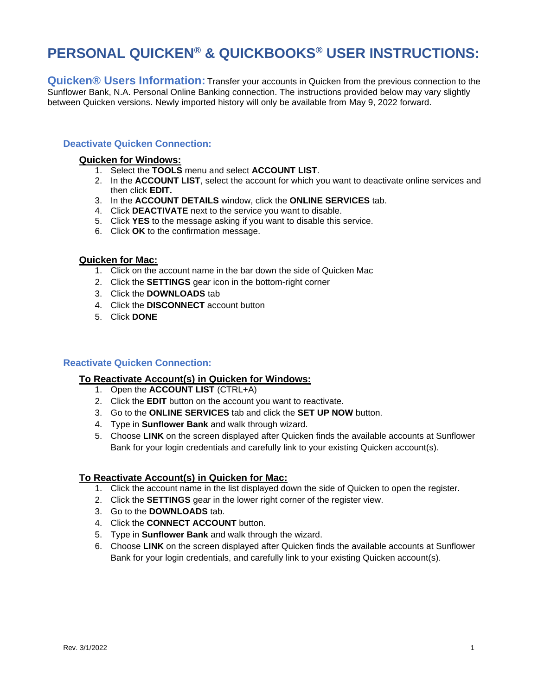# **PERSONAL QUICKEN® & QUICKBOOKS® USER INSTRUCTIONS:**

**Quicken® Users Information:** Transfer your accounts in Quicken from the previous connection to the Sunflower Bank, N.A. Personal Online Banking connection. The instructions provided below may vary slightly between Quicken versions. Newly imported history will only be available from May 9, 2022 forward.

## **Deactivate Quicken Connection:**

## **Quicken for Windows:**

- 1. Select the **TOOLS** menu and select **ACCOUNT LIST**.
- 2. In the **ACCOUNT LIST**, select the account for which you want to deactivate online services and then click **EDIT.**
- 3. In the **ACCOUNT DETAILS** window, click the **ONLINE SERVICES** tab.
- 4. Click **DEACTIVATE** next to the service you want to disable.
- 5. Click **YES** to the message asking if you want to disable this service.
- 6. Click **OK** to the confirmation message.

## **Quicken for Mac:**

- 1. Click on the account name in the bar down the side of Quicken Mac
- 2. Click the **SETTINGS** gear icon in the bottom-right corner
- 3. Click the **DOWNLOADS** tab
- 4. Click the **DISCONNECT** account button
- 5. Click **DONE**

# **Reactivate Quicken Connection:**

# **To Reactivate Account(s) in Quicken for Windows:**

- 1. Open the **ACCOUNT LIST** (CTRL+A)
- 2. Click the **EDIT** button on the account you want to reactivate.
- 3. Go to the **ONLINE SERVICES** tab and click the **SET UP NOW** button.
- 4. Type in **Sunflower Bank** and walk through wizard.
- 5. Choose **LINK** on the screen displayed after Quicken finds the available accounts at Sunflower Bank for your login credentials and carefully link to your existing Quicken account(s).

# **To Reactivate Account(s) in Quicken for Mac:**

- 1. Click the account name in the list displayed down the side of Quicken to open the register.
- 2. Click the **SETTINGS** gear in the lower right corner of the register view.
- 3. Go to the **DOWNLOADS** tab.
- 4. Click the **CONNECT ACCOUNT** button.
- 5. Type in **Sunflower Bank** and walk through the wizard.
- 6. Choose **LINK** on the screen displayed after Quicken finds the available accounts at Sunflower Bank for your login credentials, and carefully link to your existing Quicken account(s).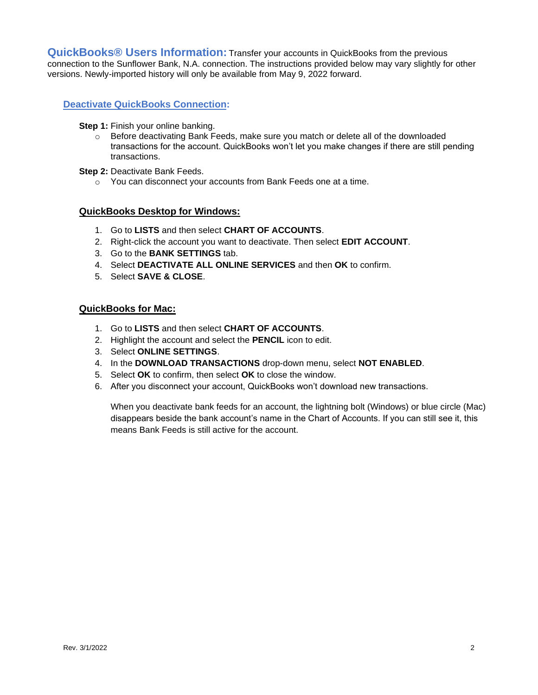**QuickBooks® Users Information:** Transfer your accounts in QuickBooks from the previous connection to the Sunflower Bank, N.A. connection. The instructions provided below may vary slightly for other versions. Newly-imported history will only be available from May 9, 2022 forward.

# **Deactivate QuickBooks Connection:**

#### **Step 1: Finish your online banking.**

 $\circ$  Before deactivating Bank Feeds, make sure you match or delete all of the downloaded transactions for the account. QuickBooks won't let you make changes if there are still pending transactions.

## **Step 2: Deactivate Bank Feeds.**

o You can disconnect your accounts from Bank Feeds one at a time.

# **QuickBooks Desktop for Windows:**

- 1. Go to **LISTS** and then select **CHART OF ACCOUNTS**.
- 2. Right-click the account you want to deactivate. Then select **EDIT ACCOUNT**.
- 3. Go to the **BANK SETTINGS** tab.
- 4. Select **DEACTIVATE ALL ONLINE SERVICES** and then **OK** to confirm.
- 5. Select **SAVE & CLOSE**.

# **QuickBooks for Mac:**

- 1. Go to **LISTS** and then select **CHART OF ACCOUNTS**.
- 2. Highlight the account and select the **PENCIL** icon to edit.
- 3. Select **ONLINE SETTINGS**.
- 4. In the **DOWNLOAD TRANSACTIONS** drop-down menu, select **NOT ENABLED**.
- 5. Select **OK** to confirm, then select **OK** to close the window.
- 6. After you disconnect your account, QuickBooks won't download new transactions.

When you deactivate bank feeds for an account, the lightning bolt (Windows) or blue circle (Mac) disappears beside the bank account's name in the Chart of Accounts. If you can still see it, this means Bank Feeds is still active for the account.